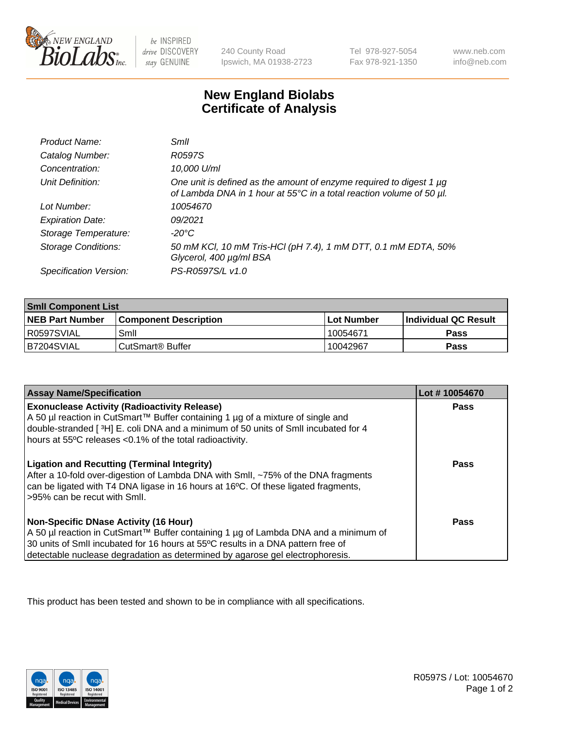

 $be$  INSPIRED drive DISCOVERY stay GENUINE

240 County Road Ipswich, MA 01938-2723 Tel 978-927-5054 Fax 978-921-1350 www.neb.com info@neb.com

## **New England Biolabs Certificate of Analysis**

| Product Name:              | Smll                                                                                                                                             |
|----------------------------|--------------------------------------------------------------------------------------------------------------------------------------------------|
| Catalog Number:            | R0597S                                                                                                                                           |
| Concentration:             | 10,000 U/ml                                                                                                                                      |
| Unit Definition:           | One unit is defined as the amount of enzyme required to digest 1 $\mu$ g<br>of Lambda DNA in 1 hour at 55°C in a total reaction volume of 50 µl. |
| Lot Number:                | 10054670                                                                                                                                         |
| <b>Expiration Date:</b>    | 09/2021                                                                                                                                          |
| Storage Temperature:       | -20°C                                                                                                                                            |
| <b>Storage Conditions:</b> | 50 mM KCl, 10 mM Tris-HCl (pH 7.4), 1 mM DTT, 0.1 mM EDTA, 50%<br>Glycerol, 400 µg/ml BSA                                                        |
| Specification Version:     | PS-R0597S/L v1.0                                                                                                                                 |

| <b>Smll Component List</b> |                              |              |                             |  |
|----------------------------|------------------------------|--------------|-----------------------------|--|
| <b>NEB Part Number</b>     | <b>Component Description</b> | l Lot Number | <b>Individual QC Result</b> |  |
| R0597SVIAL                 | Smil                         | 10054671     | Pass                        |  |
| B7204SVIAL                 | l CutSmart® Buffer           | 10042967     | Pass                        |  |

| <b>Assay Name/Specification</b>                                                                                                                                                                                                                                                                          | Lot #10054670 |
|----------------------------------------------------------------------------------------------------------------------------------------------------------------------------------------------------------------------------------------------------------------------------------------------------------|---------------|
| <b>Exonuclease Activity (Radioactivity Release)</b><br>A 50 µl reaction in CutSmart™ Buffer containing 1 µg of a mixture of single and<br>double-stranded [3H] E. coli DNA and a minimum of 50 units of SmII incubated for 4<br>hours at 55°C releases <0.1% of the total radioactivity.                 | Pass          |
| <b>Ligation and Recutting (Terminal Integrity)</b><br>After a 10-fold over-digestion of Lambda DNA with Smll, ~75% of the DNA fragments<br>can be ligated with T4 DNA ligase in 16 hours at 16°C. Of these ligated fragments,<br>>95% can be recut with Smll.                                            | Pass          |
| <b>Non-Specific DNase Activity (16 Hour)</b><br>A 50 µl reaction in CutSmart™ Buffer containing 1 µg of Lambda DNA and a minimum of<br>30 units of Smll incubated for 16 hours at 55°C results in a DNA pattern free of<br>detectable nuclease degradation as determined by agarose gel electrophoresis. | <b>Pass</b>   |

This product has been tested and shown to be in compliance with all specifications.